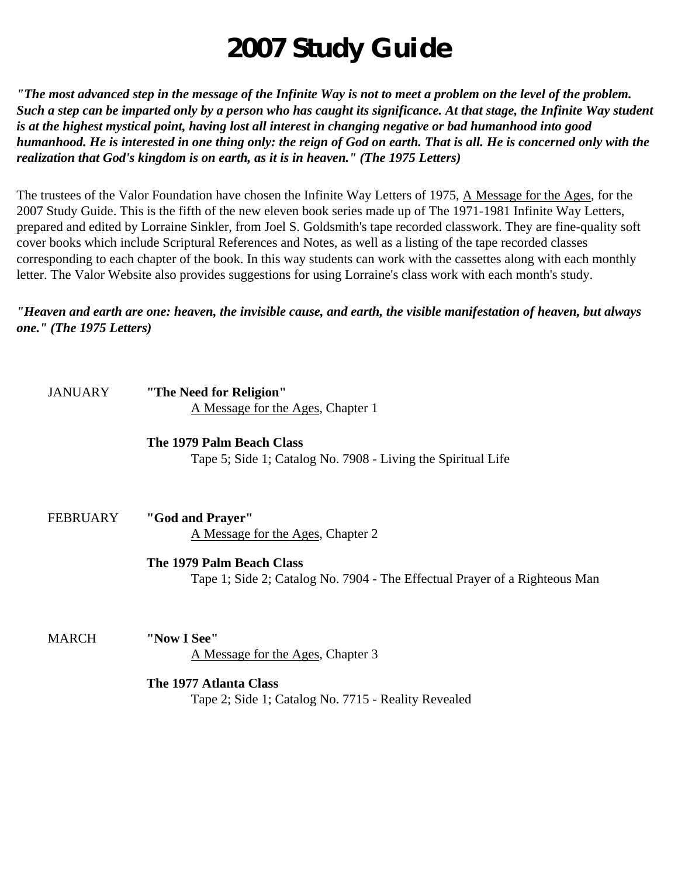# **2007 Study Guide**

*"The most advanced step in the message of the Infinite Way is not to meet a problem on the level of the problem. Such a step can be imparted only by a person who has caught its significance. At that stage, the Infinite Way student is at the highest mystical point, having lost all interest in changing negative or bad humanhood into good humanhood. He is interested in one thing only: the reign of God on earth. That is all. He is concerned only with the realization that God's kingdom is on earth, as it is in heaven." (The 1975 Letters)*

The trustees of the Valor Foundation have chosen the Infinite Way Letters of 1975, A Message for the Ages, for the 2007 Study Guide. This is the fifth of the new eleven book series made up of The 1971-1981 Infinite Way Letters, prepared and edited by Lorraine Sinkler, from Joel S. Goldsmith's tape recorded classwork. They are fine-quality soft cover books which include Scriptural References and Notes, as well as a listing of the tape recorded classes corresponding to each chapter of the book. In this way students can work with the cassettes along with each monthly letter. The Valor Website also provides suggestions for using Lorraine's class work with each month's study.

*"Heaven and earth are one: heaven, the invisible cause, and earth, the visible manifestation of heaven, but always one." (The 1975 Letters)*

| <b>JANUARY</b>  | "The Need for Religion"                                                    |
|-----------------|----------------------------------------------------------------------------|
|                 | A Message for the Ages, Chapter 1                                          |
|                 | The 1979 Palm Beach Class                                                  |
|                 | Tape 5; Side 1; Catalog No. 7908 - Living the Spiritual Life               |
|                 |                                                                            |
| <b>FEBRUARY</b> | "God and Prayer"                                                           |
|                 | A Message for the Ages, Chapter 2                                          |
|                 | The 1979 Palm Beach Class                                                  |
|                 | Tape 1; Side 2; Catalog No. 7904 - The Effectual Prayer of a Righteous Man |
| <b>MARCH</b>    | "Now I See"                                                                |
|                 |                                                                            |
|                 | A Message for the Ages, Chapter 3                                          |
|                 | The 1977 Atlanta Class                                                     |
|                 | Tape 2; Side 1; Catalog No. 7715 - Reality Revealed                        |
|                 |                                                                            |
|                 |                                                                            |
|                 |                                                                            |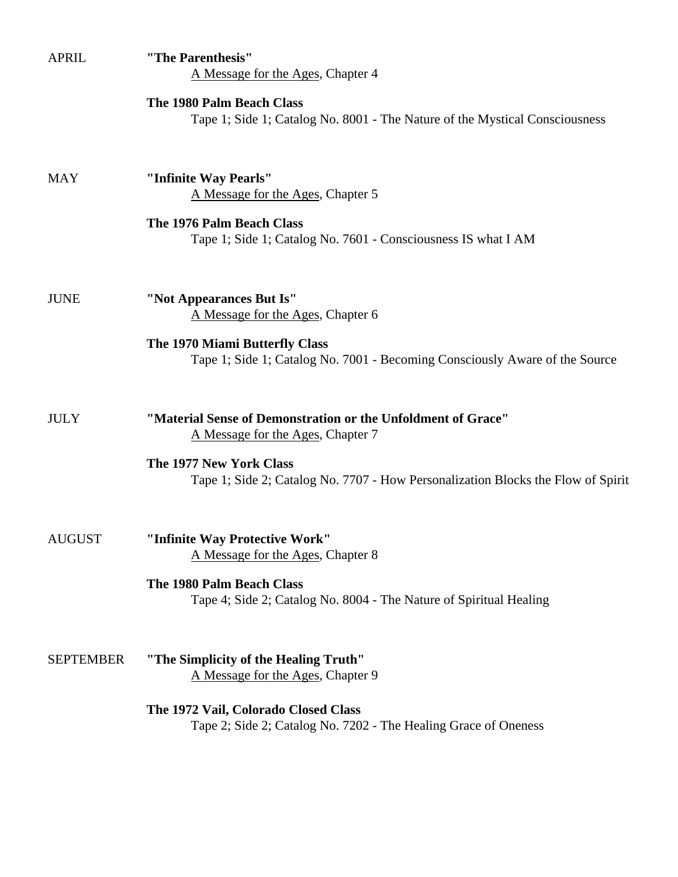| <b>APRIL</b>     | "The Parenthesis"<br>A Message for the Ages, Chapter 4                                                        |
|------------------|---------------------------------------------------------------------------------------------------------------|
|                  | The 1980 Palm Beach Class<br>Tape 1; Side 1; Catalog No. 8001 - The Nature of the Mystical Consciousness      |
| <b>MAY</b>       | "Infinite Way Pearls"<br>A Message for the Ages, Chapter 5                                                    |
|                  | The 1976 Palm Beach Class<br>Tape 1; Side 1; Catalog No. 7601 - Consciousness IS what I AM                    |
| <b>JUNE</b>      | "Not Appearances But Is"<br>A Message for the Ages, Chapter 6                                                 |
|                  | The 1970 Miami Butterfly Class<br>Tape 1; Side 1; Catalog No. 7001 - Becoming Consciously Aware of the Source |
| <b>JULY</b>      | "Material Sense of Demonstration or the Unfoldment of Grace"<br>A Message for the Ages, Chapter 7             |
|                  | The 1977 New York Class<br>Tape 1; Side 2; Catalog No. 7707 - How Personalization Blocks the Flow of Spirit   |
| <b>AUGUST</b>    | "Infinite Way Protective Work"<br>A Message for the Ages, Chapter 8                                           |
|                  | The 1980 Palm Beach Class<br>Tape 4; Side 2; Catalog No. 8004 - The Nature of Spiritual Healing               |
| <b>SEPTEMBER</b> | "The Simplicity of the Healing Truth"<br>A Message for the Ages, Chapter 9                                    |
|                  | The 1972 Vail, Colorado Closed Class<br>Tape 2; Side 2; Catalog No. 7202 - The Healing Grace of Oneness       |
|                  |                                                                                                               |